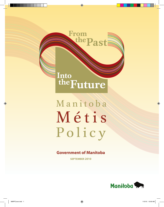

# Manitoba Métis Policy

# **Government of Manitoba**

**SEPTEMBER 2010**

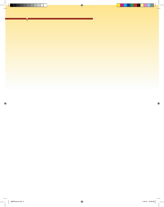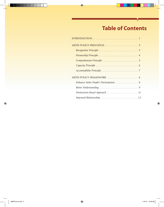# **Table of Contents**

| MÉTIS POLICY FRAMEWORK  8              |
|----------------------------------------|
| Enhance Métis People's Participation 8 |
|                                        |
| Distinctions-Based Approach  11        |
|                                        |
|                                        |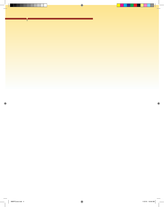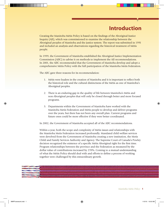# **Introduction**

Creating the Manitoba Métis Policy is based on the findings of the Aboriginal Justice Inquiry (AJI), which was commissioned to examine the relationship between the Aboriginal peoples of Manitoba and the justice system. The report was submitted in 1991 and included an analysis and observations regarding the historical treatment of Métis people.

In 1999, the Government of Manitoba established the Aboriginal Justice Implementation Commission (AJIC) to advise it on methods to implement the AJI recommendations. In 2001, the AJIC recommended that the Government of Manitoba develop and adopt a comprehensive Métis Policy with the full participation of the Manitoba Metis Federation.

The AJIC gave three reasons for its recommendation:

- 1. Métis were leaders in the creation of Manitoba and it is important to reflect both the historical role and the cultural distinctness of the Métis as one of Manitoba's Aboriginal peoples.
- 2. There is an enduring gap in the quality of life between Manitoba's Métis and non-Aboriginal peoples that will only be closed through better and more focused programs.
- 3. Departments within the Government of Manitoba have worked with the Manitoba Metis Federation and Métis people to develop and deliver programs over the years, but there has not been any overall plan. Current programs and future ones could be more effective if they were better coordinated.

In 2002, the Government of Manitoba accepted all of the AJIC recommendations.

Within a year, both the scope and complexity of Métis issues and relationships with the Manitoba Metis Federation increased profoundly. Mandated child welfare services were devolved from the Government of Manitoba creating a new institution, the Metis Child and Family Services Authority and Agency. The Supreme Court of Canada's Powley decision recognized the existence of a specific Métis Aboriginal right for the first time. Program relationships between the province and the Federation as measured by the dollar value of contributions increased by 270%. Coming to a mutual understanding of what the Métis Policy should deal with and efforts to define a process of working together were challenged by this extraordinary growth.

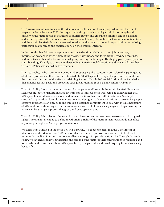The Government of Manitoba and the Manitoba Metis Federation formally agreed to work together to prepare the Métis Policy in 2008. Both agreed that the goals of the policy would be to strengthen the capacity of the Métis people in Manitoba to address current and emerging economic and social issues, and achieve greater self-reliance and socio-economic well-being. To do this, the Government of Manitoba and the Manitoba Metis Federation worked together on the basis of trust and respect, built upon existing partnership relationships and focused efforts on their mutual interests.

In the months that followed, the province and the federation held internal and joint meetings, information sessions in every region of the province, workshops and focus groups, townhall meetings, and interviews with academics and external groups serving Métis people. This highly participatory process contributed significantly to a greater understanding of Métis people's priorities and how to address them. The Métis Policy was shaped by this feedback.

The Métis Policy is the Government of Manitoba's strategic policy context to both close the gap in quality of life and promote excellence for the estimated 71,810 Métis people living in the province. It builds on the cultural distinctness of the Métis as a defining feature of Manitoba's social fabric and the knowledge that enhancing Métis goals and prosperity strengthens Manitoba's social and economic vibrancy.

The Métis Policy forms an important context for cooperative efforts with the Manitoba Metis Federation, Métis people, other organizations and governments to improve Métis well-being. It acknowledges that Métis people should have a say about, and influence actions that could affect their lives. No simple structural or procedural formula guarantees policy and program coherence in efforts to serve Métis people. Effective approaches can only be found through a sustained commitment to deal with the distinct nature of Métis culture, with full regard for the common values that hold our society together. Implementing the policy will be an organic process that grows and develops over time.

The Métis Policy Principles and Framework are not based on any evaluation or assessment of Aboriginal rights. They are not intended to define any Aboriginal rights of the Métis in Manitoba and do not affect any Aboriginal rights of Métis people in Manitoba.

What has been achieved in the Métis Policy is inspiring. It has become clear that the Government of Manitoba and the Manitoba Metis Federation share a common purpose on what needs to be done to improve the quality of life and promote excellence among Métis people in Manitoba. Through the Métis Policy, we can ensure that we understand and recognize the Métis for their contributions to Manitoba and to Canada, and create the tools for Métis people to participate fully and benefit equally from what society has to offer.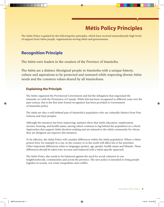# **Métis Policy Principles**

The Métis Policy is guided by the following five principles, which have received extraordinarily high levels of support from Métis people, organizations serving Métis and governments.

## **Recognition Principle**

The Métis were leaders in the creation of the Province of Manitoba.

The Métis are a distinct Aboriginal people in Manitoba with a unique history, culture and aspirations to be protected and nurtured while respecting diverse Métis needs and the common values shared by all Manitobans.

#### **Explaining the Principle**

The Métis organized the Provisional Government and led the delegation that negotiated the *Manitoba Act* with the Dominion of Canada. While this has been recognized in different ways over the past century, this is the first time formal recognition has been provided in Government of Manitoba policy.

The Métis are also a well-defined part of Manitoba's population who are culturally distinct from First Nations and Inuit peoples.

Although the situation has been improving, statistics show that Métis education, employment, income, housing, and health status, among others continue to lag behind the population as a whole. Approaches that support Métis decision-making and are attuned to the Métis community for whom they are designed can improve this situation.

To be effective, the Métis Policy will consider differences within the Métis population. Where a Métis person lives, for example in a city, in the country or in the north will affect his or her priorities. Other important differences relate to languages spoken, age, gender, health status and lifestyle. These differences should be taken into account and balanced with a Métis-specific approach.

The Métis Policy also needs to be balanced against the need for social cohesion in our neighbourhoods, communities and across the province. The new policy is intended to bring people together in society, not create inequalities and conflict.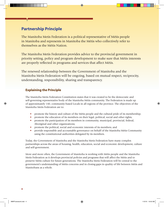### **Partnership Principle**

The Manitoba Metis Federation is a political representative of Métis people in Manitoba and represents in Manitoba the Métis who collectively refer to themselves as the Métis Nation.

The Manitoba Metis Federation provides advice to the provincial government in priority setting, policy and program development to make sure that Métis interests are properly reflected in programs and services that affect Métis.

The renewed relationship between the Government of Manitoba and the Manitoba Metis Federation will be ongoing, based on mutual respect, reciprocity, understanding, responsibility, sharing and transparency.

#### **Explaining the Principle**

The Manitoba Metis Federation Constitution states that it was created to be the democratic and self-governing representative body of the Manitoba Métis community. The Federation is made up of approximately 140, community-based Locals in all regions of the province. The objectives of the Manitoba Metis Federation are to:

- promote the history and culture of the Métis people and the cultural pride of its membership;
- promote the education of its members on their legal, political, social and other rights;
- promote the participation of its members in community, municipal, provincial, federal, Aboriginal and other organizations;
- promote the political, social and economic interests of its members; and
- provide responsible and accountable governance on behalf of the Manitoba Métis Community using the constitutional authorities delegated by its members.

Today, the Government of Manitoba and the Manitoba Metis Federation have many complex partnerships across the areas of housing, health, education, social and economic development, culture and self-government.

More and more often, the Government of Manitoba is working with Métis people and the Manitoba Metis Federation as it develops provincial policies and programs that will affect the Métis and to preserve Métis culture for future generations. The Manitoba Metis Federation will be central to the government's understanding of Métis concerns and in closing gaps in quality of life between Métis and Manitobans as a whole.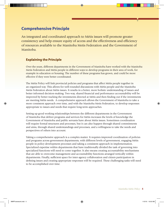## **Comprehensive Principle**

An integrated and coordinated approach to Métis issues will promote greater consistency and help ensure equity of access and the effectiveness and efficiency of resources available to the Manitoba Metis Federation and the Government of Manitoba.

#### **Explaining the Principle**

Over the years, different departments in the Government of Manitoba have worked with the Manitoba Metis Federation and Métis people in different ways to develop programs in their area of work, for example in education or housing. The number of these programs has grown, and could be more effective if they were better coordinated.

The Métis Policy will link provincial policies and programs that affect Métis people together in an organized way. This allows for well-rounded discussions with Métis people and the Manitoba Metis Federation about Métis issues. It results in a better, more holistic understanding of issues and better informed decision-making. Two-way, shared financial and performance accountability will be improved by better tracking the investments directed at Métis and then finding out if the investments are meeting Métis needs. A comprehensive approach allows the Government of Manitoba to take a more consistent approach over time, and with the Manitoba Metis Federation, to develop responses appropriate to issues and needs that require long-term approaches.

Setting up good working relationships between the different departments in the Government of Manitoba that deliver programs and services for Métis increases the levels of knowledge the Government of Manitoba and public servants have about Métis issues. Sometimes coordination will require formal structures and processes, but it can also happen through shared commitments and aims, through shared understandings and processes, and a willingness to take the needs and perspectives of others into account.

Taking a comprehensive approach is a complex matter. It requires improved coordination of policies and programs across government departments, with different levels of government, engaging Métis people in policy development processes and taking a consistent approach in implementation. Specialized expertise within departments that have traditionally divided the task of governing into specialized functions will need to come together. It also means creating accountability mechanisms that are able to overcome management and accountability functions arranged vertically within departments. Finally, sufficient space for inter-agency collaboration and citizen participation in defining issues and creating appropriate responses will be required. These challenging tasks will need to be accomplished over time.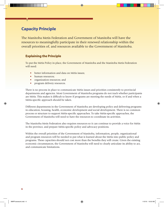# **Capacity Principle**

The Manitoba Metis Federation and Government of Manitoba will have the resources to meaningfully participate in their renewed relationship within the overall priorities of, and resources available to the Government of Manitoba.

#### **Explaining the Principle**

To put the Métis Policy in place, the Government of Manitoba and the Manitoba Metis Federation will need:

- better information and data on Métis issues:
- human resources:
- organization resources; and
- program delivery resources.

There is no process in place to communicate Métis issues and priorities consistently to provincial departments and agencies. Most Government of Manitoba programs do not track whether participants are Métis. This makes it difficult to know if programs are meeting the needs of Métis, or if and when a Métis-specific approach should be taken.

Different departments in the Government of Manitoba are developing policy and delivering programs in education, housing, health, economic development and social development. There is no common process or structure to support Métis-specific approaches. To take Métis-specific approaches, the Government of Manitoba will need to have the resources to coordinate its activities.

The Manitoba Metis Federation also requires resources so it can continue to provide a voice for Métis in the province, and prepare Métis-specific policy and advocacy positions.

Within the overall priorities of the Government of Manitoba, information, people, organizational and program resources will be needed to put what is learned about the Métis into public policy and programs. These capacities should not cost more than the benefits they will create. Given the existing economic circumstances, the Government of Manitoba will need to clearly articulate its ability to act, and communicate limitations.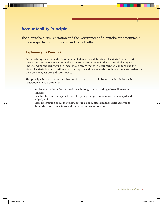# **Accountability Principle**

The Manitoba Metis Federation and the Government of Manitoba are accountable to their respective constituencies and to each other.

#### **Explaining the Principle**

Accountability means that the Government of Manitoba and the Manitoba Metis Federation will involve people and organizations with an interest in Métis issues in the process of identifying, understanding and responding to them. It also means that the Government of Manitoba and the Manitoba Metis Federation will report back, explain and be answerable to those same stakeholders for their decisions, actions and performance.

This principle is based on the idea that the Government of Manitoba and the Manitoba Metis Federation will take action to:

- implement the Métis Policy based on a thorough understanding of overall issues and concerns;
- establish benchmarks against which the policy and performance can be managed and judged; and
- share information about the policy, how it is put in place and the results achieved to those who base their actions and decisions on this information.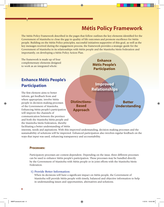# **Métis Policy Framework**

The Métis Policy Framework described in the pages that follow outlines the key elements identified for the Government of Manitoba to close the gap in quality of life outcomes and promote excellence for Métis people. Building on the Métis Policy principles, successful initiatives supportive of this goal, as well as the key messages received during the engagement process, the framework provides a strategic guide for the Government of Manitoba in its relationships with Métis people and the Manitoba Metis Federation and importantly, on developing a Métis Policy Action Plan.

The framework is made up of four complementary elements designed to work as an integrated whole:

**Enhance Métis People's Participation**

# **Enhance Métis People's Participation**

The first element aims to better inform, get feedback from and where appropriate, involve Métis people in decision-making processes of the Government of Manitoba. Enhancing Métis people's participation will improve the channels of communication between the province and both the Manitoba Métis people and the Manitoba Metis Federation, thereby facilitating a better understanding of Métis **Relationships**

**Improved** 

**Distinctions-Based Approach**

**Better Understanding**

interests, needs and aspirations. With this improved understanding, decision-making processes and the sustainability of solutions will be improved. Enhanced participation also involves regular feedback on the ways that input was used, enhancing transparency and accountability.

#### **Processes:**

Participatory processes are context-dependent. Depending on the issue, three different processes can be used to enhance Métis people's participation. These processes may be handled directly by the Government of Manitoba with Métis people or in joint efforts with the Manitoba Metis Federation.

#### **1) Provide Better Information:**

When its decisions will have a significant impact on Métis people, the Government of Manitoba will provide Métis people with timely, balanced and objective information to help in understanding issues and opportunities, alternatives and solutions.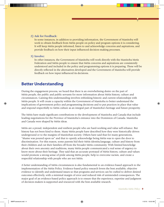#### **2) Ask for Feedback:**

In some instances, in addition to providing information, the Government of Manitoba will work to obtain feedback from Métis people on policy and program options it is considering. It will keep Métis people informed, listen to and acknowledge concerns and aspirations, and provide feedback on how their input influenced decision-making processes.

#### **3) Involve:**

In other instances, the Government of Manitoba will work directly with the Manitoba Metis Federation and Métis people to ensure that Métis concerns and aspirations are consistently understood and included in the policy and programming options it is preparing. These will be directly reflected in the alternatives developed and the Government of Manitoba will provide feedback on how input influenced its decisions.

### **Better Understanding**

During the engagement process, we heard that there is an overwhelming desire on the part of Métis people, the public and public servants for more information about Métis history, culture and circumstances. Gaining this understanding involves rethinking historic and current relationships with Métis people. It will create a capacity within the Government of Manitoba to better understand the implications of government policy and programming decisions and to put practices in place that value and respond respectfully to Métis culture as an integral part of Manitoba's heritage and future prosperity.

The Métis have made significant contributions to the development of Manitoba and Canada that include leading negotiations for the Province of Manitoba's entrance into the Dominion of Canada. Manitoba and Canada were shaped by Métis ideas.

Métis are a proud, independent and resilient people who are hard-working and value self-reliance. But history has not been kind to them. Many Métis people have described how they were historically driven underground or to the margins of Manitoban society. Others have said that for many generations, "shame was poured upon us" and that to openly acknowledge being Métis was to open the door to discrimination. For this reason, some parents hid their Métis identity,language, culture and history from their children and cut their families off from the broader Métis community. With limited knowledge about their own ancestry and traditions, many Métis people communicated a real sense of urgency to know more about their heritage. They said that an accurate portrayal of Métis history, culture and values would promote a strong sense of pride among Métis people, help to overcome racism, and create a respectful relationship with people who are not Métis.

A better understanding of Métis circumstances is also fundamental to an evidence-based approach to the implementation of the Métis Policy. Evidence-based policy research levers the best available, objective evidence to identify and understand issues so that programs and services can be crafted to deliver desired outcomes effectively, with a minimal margin of error and reduced risk of unintended consequences. The major goal of an evidence-based policy approach is to ensure that the experience, expertise and judgment of decision-makers is supported and resourced with the best available research.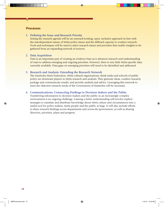#### **Processes**

#### **1. Defining the Issue and Research Priority**

Setting the research agenda will be an outward-looking, open, inclusive approach in line with the interdependent nature of Métis policy issues and the diffused capacity to conduct research. Tools and techniques will be used to select research issues and priorities that enable insights to be gathered from an expanding network of sources.

#### **2. Data Acquisition**

Data is an important part of creating an evidence base as it advances research and understanding of ways to address emerging and ongoing priorities. However, there is very little Métis-specific data currently available. Data gaps on emerging priorities will need to be identified and addressed.

#### **3. Research and Analysis: Extending the Research Network**

The Manitoba Metis Federation, Métis cultural organizations, think tanks and schools of public policy are dominant players in Métis research and analysis. They generate ideas, conduct research, package and communicate results, and provide analysis and advice. Leveraging this network to meet the objective research needs of the Government of Manitoba will be necessary.

#### **4. Communications: Connecting Findings to Decision Makers and the Public**

Transferring information to decision makers and the public in an increasingly complex environment is an ongoing challenge. Gaining a better understanding will involve explicit strategies to translate and distribute knowledge about Métis culture and circumstances into a useful tool for policy makers, Métis people and the public at large. It will also include efforts to share research findings across departments and across the government, as well as sharing direction, priorities, plans and progress.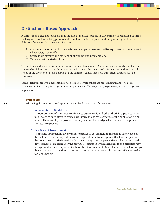# **Distinctions-Based Approach**

A distinctions-based approach expands the role of the Métis people in Government of Manitoba decisionmaking and problem-solving processes, the implementation of policy and programming, and in the delivery of services. The reasons for it are to:

- 1) Advance equal opportunity for Métis people to participate and realize equal results or outcomes in what society has to offer;
- 2) Create more effective and efficient public policy and programs; and
- 3) Value and affirm Métis culture.

The Métis are a diverse people and respecting these differences in a Métis-specific approach is not a clearcut exercise. A long-term commitment to deal with the distinct nature of Métis culture, with full regard for both the diversity of Métis people and the common values that hold our society together will be necessary.

Some Métis people live a more traditional Métis life, while others are more mainstream. The Métis Policy will not affect any Métis person;s ability to choose Métis-specific programs or programs of general application.

#### **Processes**

Advancing distinctions-based approaches can be done in one of three ways:

#### **1. Representative Workforce:**

The Government of Manitoba continues to attract Métis and other Aboriginal peoples to the public service in its effort to create a workforce that is representative of the population being served. These employees possess culturally relevant knowledge which enhances the public services they provide.

#### **2. Practices of Government:**

The second approach involves various practices of government to increase its knowledge of the distinct needs and aspirations of Métis people, and to incorporate this knowledge into the policy agenda. Métis participation on advisory councils puts a Métis voice on the overall development of an agenda for the province. Forums in which Métis needs and priorities may be expressed are also important tools for the Government of Manitoba. Informal relationships that encourage information-sharing and trust result in more coordinated and effective services for Métis people.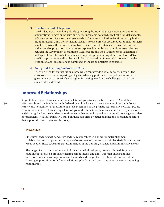#### **3. Devolution and Delegation:**

The third approach involves publicly sponsoring the Manitoba Metis Federation and other organizations to develop policies and deliver programs designed specifically for Métis people. Métis institutions increase the degree to which Métis are involved in decision-making both at the administrative and policy-making levels. They also provide greater opportunities for Métis people to provide the services themselves. The agreements often lead to creative, innovative and responsive programs if new ideas and approaches can be tested, and improve relations between the Government of Manitoba, Métis people and the Manitoba Metis Federation if Métis people are able to better participate in public programming at the local level. Métisspecific approaches as well as the devolution or delegation of provincial programs and the creation of Métis institutions to administer them are all practices to consider.

#### **4. Policy and Planning Institutional Base:**

There is a need for an institutional base which can provide a voice for Métis people. The costs associated with preparing policy and advocacy positions across policy spectrums of government or to proactively manage an increasing mandate are challenges that will be strategically addressed.

### **Improved Relationships**

Respectful, revitalized formal and informal relationships between the Government of Manitoba, Métis people and the Manitoba Metis Federation will be fostered in each element of the Métis Policy Framework. Recognition of the Manitoba Metis Federation as the primary representative of Métis people is an important part of formalizing relationships. At the same time, there are a number of organizations widely recognized as stakeholders in Métis issues, either as service providers, cultural knowledge providers or researchers. The Métis Policy will build on these resources by better aligning and coordinating efforts that support the overall goals of the policy.

#### **Processes**

Structured, sector-specific and cross-sectoral relationships will allow for better alignment, collaboration and cooperation among the Government of Manitoba, Manitoba Metis Federation, and Métis people. These structures are recommended at the political, strategic, and administrative levels.

The range of what can be stipulated in formalized relationships is, however, limited. Improved relationships are also a product of shared commitments and aims, informal understandings and processes and a willingness to take the needs and perspectives of others into consideration. Creating opportunities for informal relationship building will be an important aspect of improving relationships.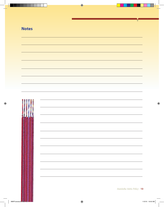| <b>Notes</b> |  |  |                            |
|--------------|--|--|----------------------------|
|              |  |  |                            |
|              |  |  |                            |
|              |  |  |                            |
|              |  |  |                            |
|              |  |  |                            |
|              |  |  |                            |
|              |  |  |                            |
|              |  |  |                            |
|              |  |  |                            |
|              |  |  |                            |
|              |  |  |                            |
|              |  |  |                            |
|              |  |  |                            |
|              |  |  |                            |
|              |  |  |                            |
|              |  |  |                            |
|              |  |  |                            |
|              |  |  |                            |
|              |  |  |                            |
|              |  |  |                            |
|              |  |  |                            |
|              |  |  |                            |
|              |  |  |                            |
|              |  |  | Manitoba Métis Policy - 13 |
|              |  |  |                            |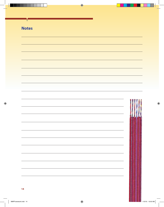| <b>Notes</b> |                                                                                        |
|--------------|----------------------------------------------------------------------------------------|
|              |                                                                                        |
|              |                                                                                        |
|              |                                                                                        |
|              |                                                                                        |
|              |                                                                                        |
|              |                                                                                        |
|              |                                                                                        |
|              |                                                                                        |
|              |                                                                                        |
|              |                                                                                        |
|              |                                                                                        |
|              |                                                                                        |
|              |                                                                                        |
|              |                                                                                        |
|              |                                                                                        |
|              |                                                                                        |
|              |                                                                                        |
|              |                                                                                        |
|              |                                                                                        |
|              |                                                                                        |
|              |                                                                                        |
|              |                                                                                        |
|              |                                                                                        |
|              |                                                                                        |
|              |                                                                                        |
|              |                                                                                        |
|              |                                                                                        |
|              |                                                                                        |
|              |                                                                                        |
|              |                                                                                        |
|              |                                                                                        |
|              |                                                                                        |
|              |                                                                                        |
|              |                                                                                        |
|              |                                                                                        |
|              |                                                                                        |
|              |                                                                                        |
|              |                                                                                        |
|              |                                                                                        |
|              |                                                                                        |
|              |                                                                                        |
|              |                                                                                        |
|              |                                                                                        |
|              |                                                                                        |
|              |                                                                                        |
|              |                                                                                        |
|              |                                                                                        |
|              | sa kata kata kabupaten yang menghali pengandan pengharan pengharan pengharan pengharan |
|              |                                                                                        |
|              |                                                                                        |
|              |                                                                                        |
|              |                                                                                        |
| 14           |                                                                                        |
|              |                                                                                        |